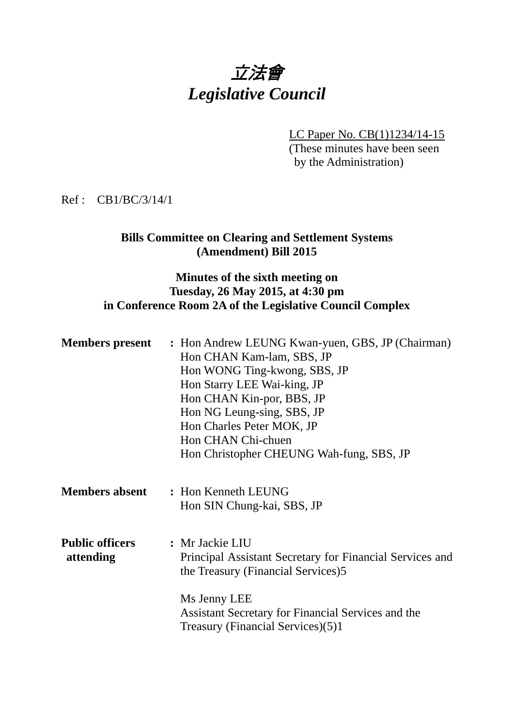# 立法會 *Legislative Council*

LC Paper No. CB(1)1234/14-15 (These minutes have been seen by the Administration)

#### Ref : CB1/BC/3/14/1

## **Bills Committee on Clearing and Settlement Systems (Amendment) Bill 2015**

### **Minutes of the sixth meeting on Tuesday, 26 May 2015, at 4:30 pm in Conference Room 2A of the Legislative Council Complex**

| <b>Members present</b>              | : Hon Andrew LEUNG Kwan-yuen, GBS, JP (Chairman)<br>Hon CHAN Kam-lam, SBS, JP<br>Hon WONG Ting-kwong, SBS, JP<br>Hon Starry LEE Wai-king, JP<br>Hon CHAN Kin-por, BBS, JP<br>Hon NG Leung-sing, SBS, JP<br>Hon Charles Peter MOK, JP<br>Hon CHAN Chi-chuen<br>Hon Christopher CHEUNG Wah-fung, SBS, JP |
|-------------------------------------|--------------------------------------------------------------------------------------------------------------------------------------------------------------------------------------------------------------------------------------------------------------------------------------------------------|
| <b>Members absent</b>               | : Hon Kenneth LEUNG<br>Hon SIN Chung-kai, SBS, JP                                                                                                                                                                                                                                                      |
| <b>Public officers</b><br>attending | : Mr Jackie LIU<br>Principal Assistant Secretary for Financial Services and<br>the Treasury (Financial Services)5<br>Ms Jenny LEE<br>Assistant Secretary for Financial Services and the<br>Treasury (Financial Services)(5)1                                                                           |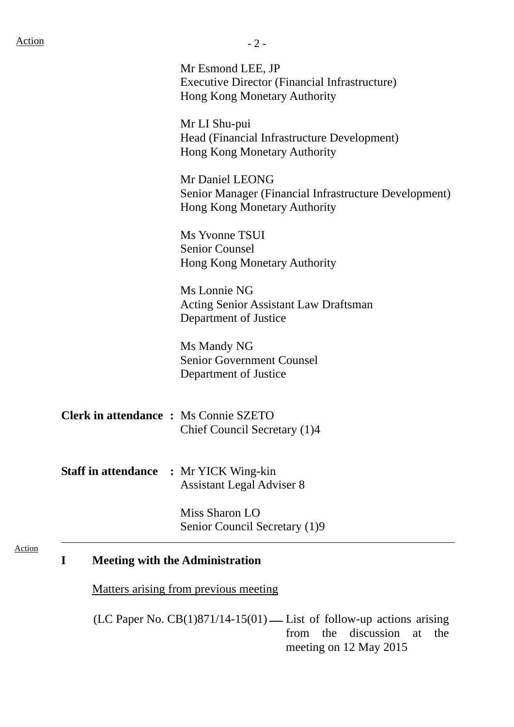Action

|                                              | Mr Esmond LEE, JP<br><b>Executive Director (Financial Infrastructure)</b><br><b>Hong Kong Monetary Authority</b> |
|----------------------------------------------|------------------------------------------------------------------------------------------------------------------|
|                                              | Mr LI Shu-pui<br>Head (Financial Infrastructure Development)<br>Hong Kong Monetary Authority                     |
|                                              | Mr Daniel LEONG<br>Senior Manager (Financial Infrastructure Development)<br><b>Hong Kong Monetary Authority</b>  |
|                                              | Ms Yvonne TSUI<br><b>Senior Counsel</b><br>Hong Kong Monetary Authority                                          |
|                                              | Ms Lonnie NG<br><b>Acting Senior Assistant Law Draftsman</b><br>Department of Justice                            |
|                                              | Ms Mandy NG<br><b>Senior Government Counsel</b><br>Department of Justice                                         |
| <b>Clerk in attendance : Ms Connie SZETO</b> | Chief Council Secretary (1)4                                                                                     |

**Staff in attendance :** Mr YICK Wing-kin Assistant Legal Adviser 8

> Miss Sharon LO Senior Council Secretary (1)9

#### **I Meeting with the Administration**

Matters arising from previous meeting

(LC Paper No.  $CB(1)871/14-15(01)$  — List of follow-up actions arising from the discussion at the meeting on 12 May 2015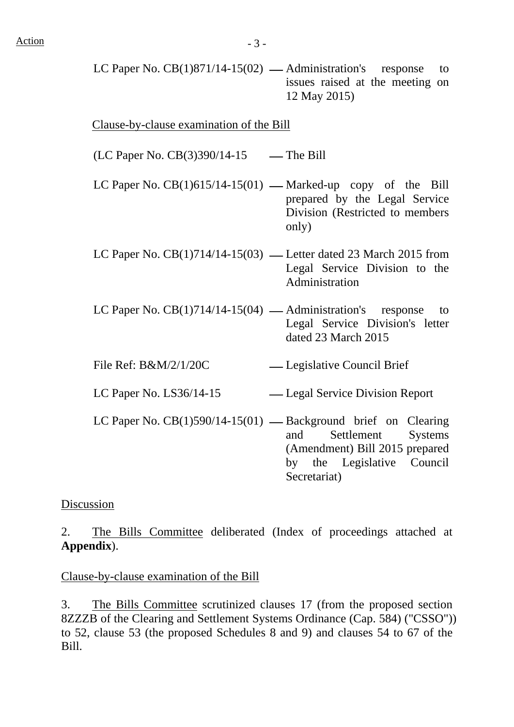LC Paper No.  $CB(1)871/14-15(02)$  — Administration's response to issues raised at the meeting on 12 May 2015)

Clause-by-clause examination of the Bill

 $(LC$  Paper No.  $CB(3)390/14-15$  — The Bill

- LC Paper No.  $CB(1)615/14-15(01)$  Marked-up copy of the Bill prepared by the Legal Service Division (Restricted to members only)
- LC Paper No.  $CB(1)714/14-15(03)$  Letter dated 23 March 2015 from Legal Service Division to the Administration
- LC Paper No.  $CB(1)714/14-15(04)$  Administration's response to Legal Service Division's letter dated 23 March 2015
- File Ref: B&M/2/1/20C Legislative Council Brief

LC Paper No. LS36/14-15 ⎯ Legal Service Division Report

LC Paper No.  $CB(1)590/14-15(01)$  — Background brief on Clearing and Settlement Systems (Amendment) Bill 2015 prepared by the Legislative Council Secretariat)

#### Discussion

2. The Bills Committee deliberated (Index of proceedings attached at **Appendix**).

#### Clause-by-clause examination of the Bill

3. The Bills Committee scrutinized clauses 17 (from the proposed section 8ZZZB of the Clearing and Settlement Systems Ordinance (Cap. 584) ("CSSO")) to 52, clause 53 (the proposed Schedules 8 and 9) and clauses 54 to 67 of the Bill.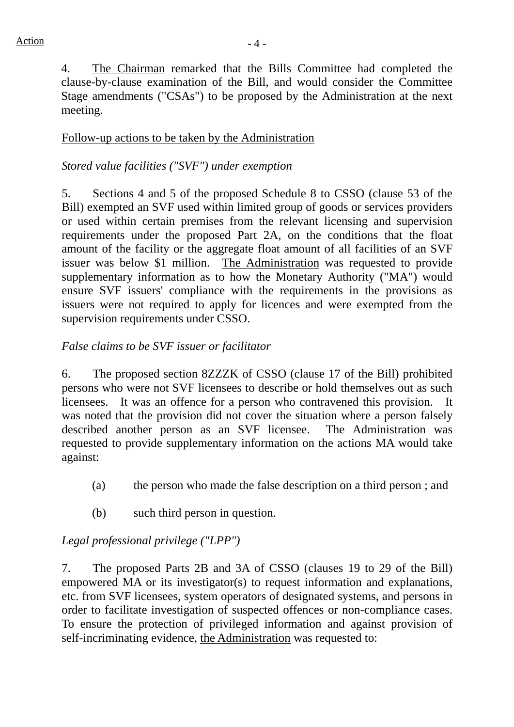4. The Chairman remarked that the Bills Committee had completed the clause-by-clause examination of the Bill, and would consider the Committee Stage amendments ("CSAs") to be proposed by the Administration at the next meeting.

## Follow-up actions to be taken by the Administration

## *Stored value facilities ("SVF") under exemption*

5. Sections 4 and 5 of the proposed Schedule 8 to CSSO (clause 53 of the Bill) exempted an SVF used within limited group of goods or services providers or used within certain premises from the relevant licensing and supervision requirements under the proposed Part 2A, on the conditions that the float amount of the facility or the aggregate float amount of all facilities of an SVF issuer was below \$1 million. The Administration was requested to provide supplementary information as to how the Monetary Authority ("MA") would ensure SVF issuers' compliance with the requirements in the provisions as issuers were not required to apply for licences and were exempted from the supervision requirements under CSSO.

### *False claims to be SVF issuer or facilitator*

6. The proposed section 8ZZZK of CSSO (clause 17 of the Bill) prohibited persons who were not SVF licensees to describe or hold themselves out as such licensees. It was an offence for a person who contravened this provision. It was noted that the provision did not cover the situation where a person falsely described another person as an SVF licensee. The Administration was requested to provide supplementary information on the actions MA would take against:

- (a) the person who made the false description on a third person ; and
- (b) such third person in question.

# *Legal professional privilege ("LPP")*

7. The proposed Parts 2B and 3A of CSSO (clauses 19 to 29 of the Bill) empowered MA or its investigator(s) to request information and explanations, etc. from SVF licensees, system operators of designated systems, and persons in order to facilitate investigation of suspected offences or non-compliance cases. To ensure the protection of privileged information and against provision of self-incriminating evidence, the Administration was requested to: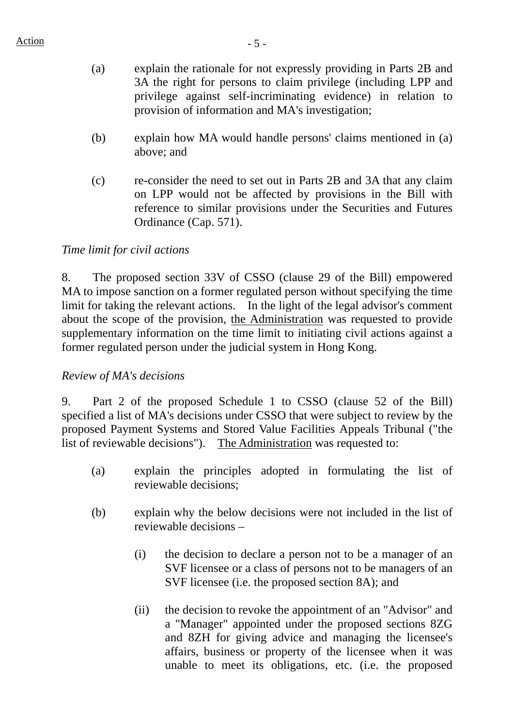- (a) explain the rationale for not expressly providing in Parts 2B and 3A the right for persons to claim privilege (including LPP and privilege against self-incriminating evidence) in relation to provision of information and MA's investigation;
- (b) explain how MA would handle persons' claims mentioned in (a) above; and
- (c) re-consider the need to set out in Parts 2B and 3A that any claim on LPP would not be affected by provisions in the Bill with reference to similar provisions under the Securities and Futures Ordinance (Cap. 571).

# *Time limit for civil actions*

8. The proposed section 33V of CSSO (clause 29 of the Bill) empowered MA to impose sanction on a former regulated person without specifying the time limit for taking the relevant actions. In the light of the legal advisor's comment about the scope of the provision, the Administration was requested to provide supplementary information on the time limit to initiating civil actions against a former regulated person under the judicial system in Hong Kong.

# *Review of MA's decisions*

9. Part 2 of the proposed Schedule 1 to CSSO (clause 52 of the Bill) specified a list of MA's decisions under CSSO that were subject to review by the proposed Payment Systems and Stored Value Facilities Appeals Tribunal ("the list of reviewable decisions"). The Administration was requested to:

- (a) explain the principles adopted in formulating the list of reviewable decisions;
- (b) explain why the below decisions were not included in the list of reviewable decisions –
	- (i) the decision to declare a person not to be a manager of an SVF licensee or a class of persons not to be managers of an SVF licensee (i.e. the proposed section 8A); and
	- (ii) the decision to revoke the appointment of an "Advisor" and a "Manager" appointed under the proposed sections 8ZG and 8ZH for giving advice and managing the licensee's affairs, business or property of the licensee when it was unable to meet its obligations, etc. (i.e. the proposed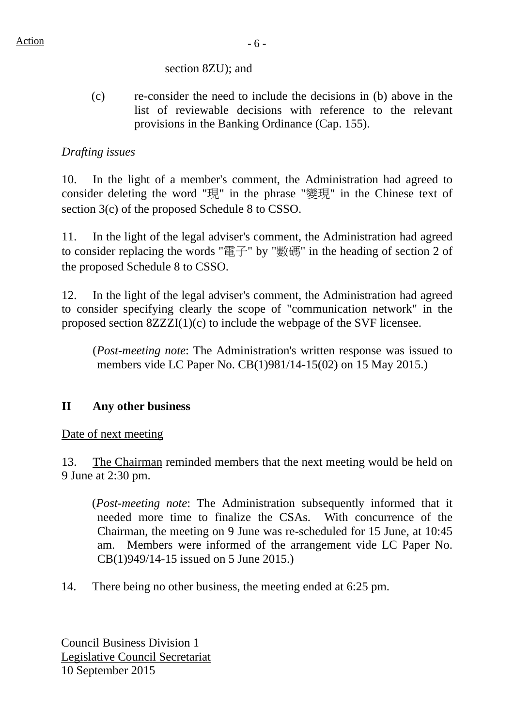## section 8ZU); and

(c) re-consider the need to include the decisions in (b) above in the list of reviewable decisions with reference to the relevant provisions in the Banking Ordinance (Cap. 155).

# *Drafting issues*

10. In the light of a member's comment, the Administration had agreed to consider deleting the word "現" in the phrase "變現" in the Chinese text of section 3(c) of the proposed Schedule 8 to CSSO.

11. In the light of the legal adviser's comment, the Administration had agreed to consider replacing the words "電子" by "數碼" in the heading of section 2 of the proposed Schedule 8 to CSSO.

12. In the light of the legal adviser's comment, the Administration had agreed to consider specifying clearly the scope of "communication network" in the proposed section 8ZZZI(1)(c) to include the webpage of the SVF licensee.

(*Post-meeting note*: The Administration's written response was issued to members vide LC Paper No. CB(1)981/14-15(02) on 15 May 2015.)

# **II Any other business**

### Date of next meeting

13. The Chairman reminded members that the next meeting would be held on 9 June at 2:30 pm.

(*Post-meeting note*: The Administration subsequently informed that it needed more time to finalize the CSAs. With concurrence of the Chairman, the meeting on 9 June was re-scheduled for 15 June, at 10:45 am. Members were informed of the arrangement vide LC Paper No. CB(1)949/14-15 issued on 5 June 2015.)

14. There being no other business, the meeting ended at 6:25 pm.

Council Business Division 1 Legislative Council Secretariat 10 September 2015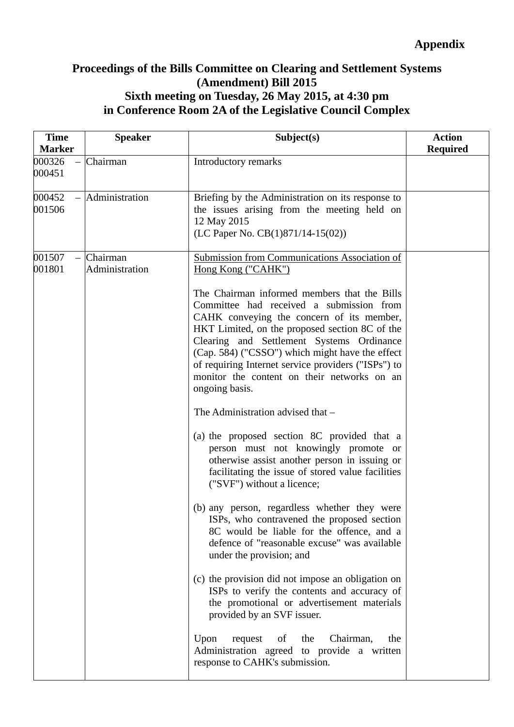# **Proceedings of the Bills Committee on Clearing and Settlement Systems (Amendment) Bill 2015 Sixth meeting on Tuesday, 26 May 2015, at 4:30 pm in Conference Room 2A of the Legislative Council Complex**

| <b>Time</b><br><b>Marker</b> | <b>Speaker</b>             | Subject(s)                                                                                                                                                                                                                                                                                                                                                                                                      | <b>Action</b><br><b>Required</b> |
|------------------------------|----------------------------|-----------------------------------------------------------------------------------------------------------------------------------------------------------------------------------------------------------------------------------------------------------------------------------------------------------------------------------------------------------------------------------------------------------------|----------------------------------|
| 000326<br>000451             | Chairman                   | Introductory remarks                                                                                                                                                                                                                                                                                                                                                                                            |                                  |
| 000452<br>001506             | Administration             | Briefing by the Administration on its response to<br>the issues arising from the meeting held on<br>12 May 2015<br>(LC Paper No. $CB(1)871/14-15(02)$ )                                                                                                                                                                                                                                                         |                                  |
| 001507<br>001801             | Chairman<br>Administration | <b>Submission from Communications Association of</b><br>Hong Kong ("CAHK")                                                                                                                                                                                                                                                                                                                                      |                                  |
|                              |                            | The Chairman informed members that the Bills<br>Committee had received a submission from<br>CAHK conveying the concern of its member,<br>HKT Limited, on the proposed section 8C of the<br>Clearing and Settlement Systems Ordinance<br>(Cap. 584) ("CSSO") which might have the effect<br>of requiring Internet service providers ("ISPs") to<br>monitor the content on their networks on an<br>ongoing basis. |                                  |
|                              |                            | The Administration advised that -                                                                                                                                                                                                                                                                                                                                                                               |                                  |
|                              |                            | (a) the proposed section 8C provided that a<br>person must not knowingly promote or<br>otherwise assist another person in issuing or<br>facilitating the issue of stored value facilities<br>("SVF") without a licence;                                                                                                                                                                                         |                                  |
|                              |                            | (b) any person, regardless whether they were<br>ISPs, who contravened the proposed section<br>8C would be liable for the offence, and a<br>defence of "reasonable excuse" was available<br>under the provision; and                                                                                                                                                                                             |                                  |
|                              |                            | (c) the provision did not impose an obligation on<br>ISPs to verify the contents and accuracy of<br>the promotional or advertisement materials<br>provided by an SVF issuer.                                                                                                                                                                                                                                    |                                  |
|                              |                            | Upon<br>request<br>Chairman,<br>of<br>the<br>the<br>Administration agreed to provide a written<br>response to CAHK's submission.                                                                                                                                                                                                                                                                                |                                  |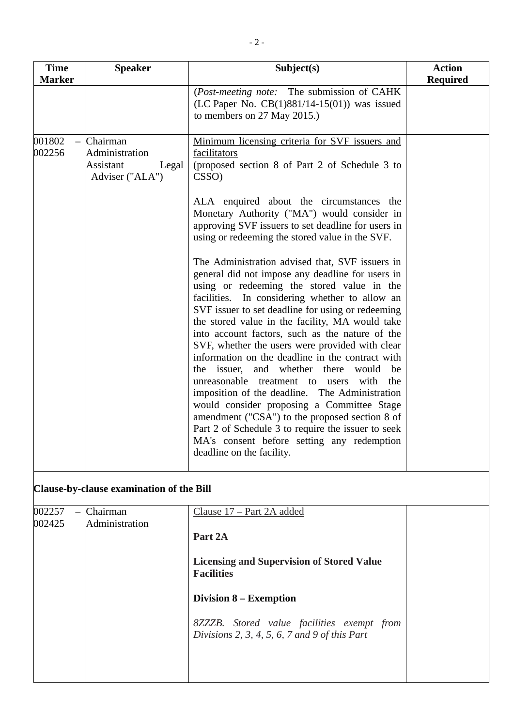| <b>Time</b><br><b>Marker</b> | <b>Speaker</b>                                                      | Subject(s)                                                                                                                                                                                                                                                                                                                                                                                                                                                                                                                                                                                                                                                                                                                                                                                                                                                 | <b>Action</b><br><b>Required</b> |
|------------------------------|---------------------------------------------------------------------|------------------------------------------------------------------------------------------------------------------------------------------------------------------------------------------------------------------------------------------------------------------------------------------------------------------------------------------------------------------------------------------------------------------------------------------------------------------------------------------------------------------------------------------------------------------------------------------------------------------------------------------------------------------------------------------------------------------------------------------------------------------------------------------------------------------------------------------------------------|----------------------------------|
|                              |                                                                     | (Post-meeting note: The submission of CAHK<br>(LC Paper No. $CB(1)881/14-15(01)$ ) was issued<br>to members on 27 May 2015.)                                                                                                                                                                                                                                                                                                                                                                                                                                                                                                                                                                                                                                                                                                                               |                                  |
| 001802<br>002256             | Chairman<br>Administration<br>Assistant<br>Legal<br>Adviser ("ALA") | Minimum licensing criteria for SVF issuers and<br>facilitators<br>(proposed section 8 of Part 2 of Schedule 3 to<br>CSSO)                                                                                                                                                                                                                                                                                                                                                                                                                                                                                                                                                                                                                                                                                                                                  |                                  |
|                              |                                                                     | ALA enquired about the circumstances the<br>Monetary Authority ("MA") would consider in<br>approving SVF issuers to set deadline for users in<br>using or redeeming the stored value in the SVF.                                                                                                                                                                                                                                                                                                                                                                                                                                                                                                                                                                                                                                                           |                                  |
|                              |                                                                     | The Administration advised that, SVF issuers in<br>general did not impose any deadline for users in<br>using or redeeming the stored value in the<br>facilities. In considering whether to allow an<br>SVF issuer to set deadline for using or redeeming<br>the stored value in the facility, MA would take<br>into account factors, such as the nature of the<br>SVF, whether the users were provided with clear<br>information on the deadline in the contract with<br>the issuer, and whether there<br>would<br>be<br>unreasonable treatment to users<br>with<br>the<br>imposition of the deadline. The Administration<br>would consider proposing a Committee Stage<br>amendment ("CSA") to the proposed section 8 of<br>Part 2 of Schedule 3 to require the issuer to seek<br>MA's consent before setting any redemption<br>deadline on the facility. |                                  |
|                              | Clause-by-clause examination of the Bill                            |                                                                                                                                                                                                                                                                                                                                                                                                                                                                                                                                                                                                                                                                                                                                                                                                                                                            |                                  |
| 002257<br>002425             | Chairman<br>Administration                                          | <u>Clause 17 – Part 2A added</u><br>Part 2A                                                                                                                                                                                                                                                                                                                                                                                                                                                                                                                                                                                                                                                                                                                                                                                                                |                                  |
|                              |                                                                     | <b>Licensing and Supervision of Stored Value</b><br><b>Facilities</b>                                                                                                                                                                                                                                                                                                                                                                                                                                                                                                                                                                                                                                                                                                                                                                                      |                                  |
|                              |                                                                     | <b>Division 8 – Exemption</b>                                                                                                                                                                                                                                                                                                                                                                                                                                                                                                                                                                                                                                                                                                                                                                                                                              |                                  |
|                              |                                                                     | 8ZZZB. Stored value facilities exempt from<br>Divisions 2, 3, 4, 5, 6, 7 and 9 of this Part                                                                                                                                                                                                                                                                                                                                                                                                                                                                                                                                                                                                                                                                                                                                                                |                                  |
|                              |                                                                     |                                                                                                                                                                                                                                                                                                                                                                                                                                                                                                                                                                                                                                                                                                                                                                                                                                                            |                                  |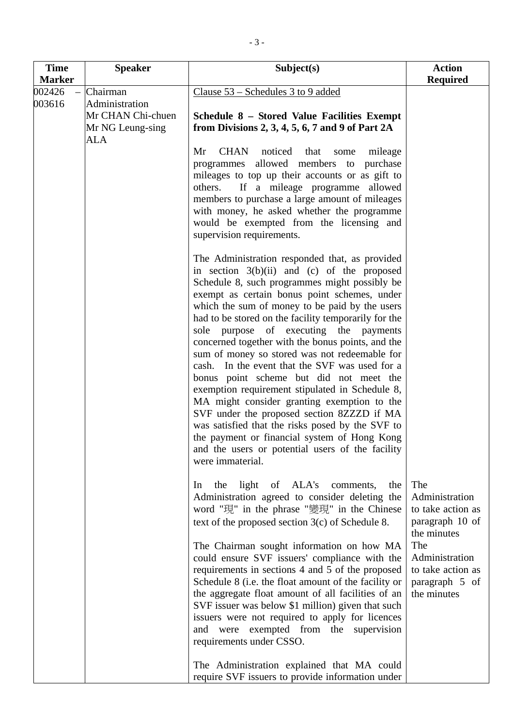| <b>Time</b>                       | <b>Speaker</b>                                                                    | Subject(s)                                                                                                                                                                                                                                                                                                                                                                                                                                                                                                                                                                                                                                                                                                                                                                                                                                                                          | <b>Action</b>                                                                                                                                               |
|-----------------------------------|-----------------------------------------------------------------------------------|-------------------------------------------------------------------------------------------------------------------------------------------------------------------------------------------------------------------------------------------------------------------------------------------------------------------------------------------------------------------------------------------------------------------------------------------------------------------------------------------------------------------------------------------------------------------------------------------------------------------------------------------------------------------------------------------------------------------------------------------------------------------------------------------------------------------------------------------------------------------------------------|-------------------------------------------------------------------------------------------------------------------------------------------------------------|
| <b>Marker</b><br>002426<br>003616 | Chairman<br>Administration<br>Mr CHAN Chi-chuen<br>Mr NG Leung-sing<br><b>ALA</b> | Clause $53$ – Schedules 3 to 9 added<br>Schedule 8 - Stored Value Facilities Exempt<br>from Divisions 2, 3, 4, 5, 6, 7 and 9 of Part $2A$<br><b>CHAN</b><br>noticed<br>Mr<br>that<br>mileage<br>some<br>programmes allowed members to<br>purchase<br>mileages to top up their accounts or as gift to<br>If a mileage programme allowed<br>others.<br>members to purchase a large amount of mileages<br>with money, he asked whether the programme<br>would be exempted from the licensing and<br>supervision requirements.                                                                                                                                                                                                                                                                                                                                                          | <b>Required</b>                                                                                                                                             |
|                                   |                                                                                   | The Administration responded that, as provided<br>in section $3(b)(ii)$ and (c) of the proposed<br>Schedule 8, such programmes might possibly be<br>exempt as certain bonus point schemes, under<br>which the sum of money to be paid by the users<br>had to be stored on the facility temporarily for the<br>sole purpose of executing the payments<br>concerned together with the bonus points, and the<br>sum of money so stored was not redeemable for<br>cash. In the event that the SVF was used for a<br>bonus point scheme but did not meet the<br>exemption requirement stipulated in Schedule 8,<br>MA might consider granting exemption to the<br>SVF under the proposed section 8ZZZD if MA<br>was satisfied that the risks posed by the SVF to<br>the payment or financial system of Hong Kong<br>and the users or potential users of the facility<br>were immaterial. |                                                                                                                                                             |
|                                   |                                                                                   | light of ALA's<br>comments,<br>the<br>the<br>In<br>Administration agreed to consider deleting the<br>word "現" in the phrase "變現" in the Chinese<br>text of the proposed section $3(c)$ of Schedule 8.<br>The Chairman sought information on how MA<br>could ensure SVF issuers' compliance with the<br>requirements in sections 4 and 5 of the proposed<br>Schedule 8 (i.e. the float amount of the facility or<br>the aggregate float amount of all facilities of an<br>SVF issuer was below \$1 million) given that such<br>issuers were not required to apply for licences<br>and were exempted from the supervision<br>requirements under CSSO.<br>The Administration explained that MA could<br>require SVF issuers to provide information under                                                                                                                               | The<br>Administration<br>to take action as<br>paragraph 10 of<br>the minutes<br>The<br>Administration<br>to take action as<br>paragraph 5 of<br>the minutes |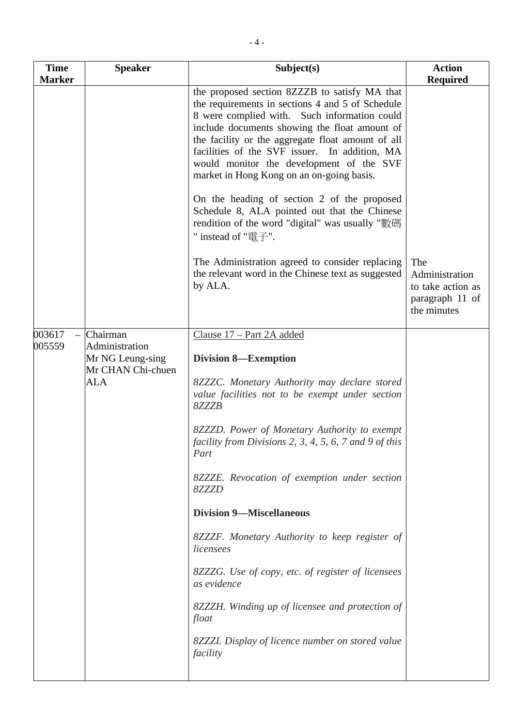| <b>Time</b>   | <b>Speaker</b>                                          | Subject(s)                                                                                                                                                                                                                                                                                                                                                                                                                                       | <b>Action</b>                                                                |
|---------------|---------------------------------------------------------|--------------------------------------------------------------------------------------------------------------------------------------------------------------------------------------------------------------------------------------------------------------------------------------------------------------------------------------------------------------------------------------------------------------------------------------------------|------------------------------------------------------------------------------|
| <b>Marker</b> |                                                         |                                                                                                                                                                                                                                                                                                                                                                                                                                                  | <b>Required</b>                                                              |
|               |                                                         | the proposed section 8ZZZB to satisfy MA that<br>the requirements in sections 4 and 5 of Schedule<br>8 were complied with. Such information could<br>include documents showing the float amount of<br>the facility or the aggregate float amount of all<br>facilities of the SVF issuer. In addition, MA<br>would monitor the development of the SVF<br>market in Hong Kong on an on-going basis.<br>On the heading of section 2 of the proposed |                                                                              |
|               |                                                         | Schedule 8, ALA pointed out that the Chinese<br>rendition of the word "digital" was usually "數碼<br>" instead of "電子".                                                                                                                                                                                                                                                                                                                            |                                                                              |
|               |                                                         | The Administration agreed to consider replacing<br>the relevant word in the Chinese text as suggested<br>by ALA.                                                                                                                                                                                                                                                                                                                                 | The<br>Administration<br>to take action as<br>paragraph 11 of<br>the minutes |
| 003617        | Chairman                                                | Clause 17 - Part 2A added                                                                                                                                                                                                                                                                                                                                                                                                                        |                                                                              |
| 005559        | Administration<br>Mr NG Leung-sing<br>Mr CHAN Chi-chuen | <b>Division 8—Exemption</b>                                                                                                                                                                                                                                                                                                                                                                                                                      |                                                                              |
|               | <b>ALA</b>                                              | 8ZZZC. Monetary Authority may declare stored<br>value facilities not to be exempt under section<br>8ZZZB                                                                                                                                                                                                                                                                                                                                         |                                                                              |
|               |                                                         | 8ZZZD. Power of Monetary Authority to exempt<br>facility from Divisions 2, 3, 4, 5, 6, 7 and 9 of this<br>Part                                                                                                                                                                                                                                                                                                                                   |                                                                              |
|               |                                                         | 8ZZZE. Revocation of exemption under section<br>8ZZZD                                                                                                                                                                                                                                                                                                                                                                                            |                                                                              |
|               |                                                         | <b>Division 9-Miscellaneous</b>                                                                                                                                                                                                                                                                                                                                                                                                                  |                                                                              |
|               |                                                         | 8ZZZF. Monetary Authority to keep register of<br>licensees                                                                                                                                                                                                                                                                                                                                                                                       |                                                                              |
|               |                                                         | 8ZZZG. Use of copy, etc. of register of licensees<br>as evidence                                                                                                                                                                                                                                                                                                                                                                                 |                                                                              |
|               |                                                         | 8ZZZH. Winding up of licensee and protection of<br>float                                                                                                                                                                                                                                                                                                                                                                                         |                                                                              |
|               |                                                         | 8ZZZI. Display of licence number on stored value<br>facility                                                                                                                                                                                                                                                                                                                                                                                     |                                                                              |
|               |                                                         |                                                                                                                                                                                                                                                                                                                                                                                                                                                  |                                                                              |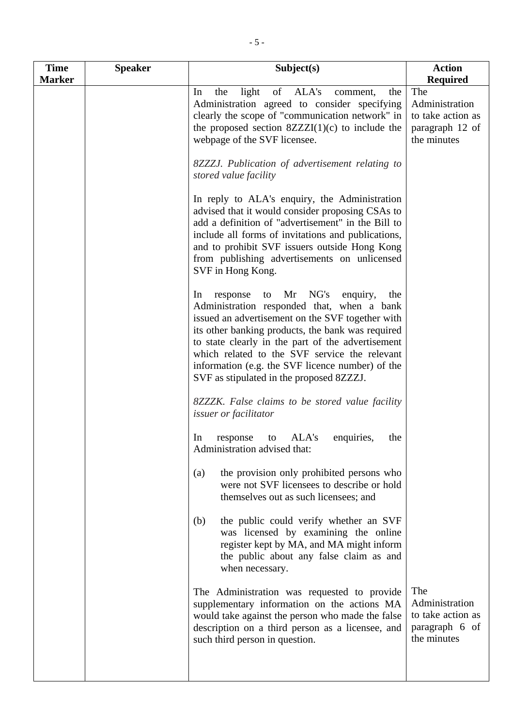| <b>Time</b><br><b>Marker</b> | <b>Speaker</b> | Subject(s)                                                                                                                                                                                                                                                                                                                                                                                                      | <b>Action</b><br><b>Required</b>                                             |
|------------------------------|----------------|-----------------------------------------------------------------------------------------------------------------------------------------------------------------------------------------------------------------------------------------------------------------------------------------------------------------------------------------------------------------------------------------------------------------|------------------------------------------------------------------------------|
|                              |                | ALA's<br>light<br>of<br>In<br>the<br>comment,<br>the<br>Administration agreed to consider specifying<br>clearly the scope of "communication network" in<br>the proposed section $8ZZZI(1)(c)$ to include the<br>webpage of the SVF licensee.                                                                                                                                                                    | The<br>Administration<br>to take action as<br>paragraph 12 of<br>the minutes |
|                              |                | 8ZZZJ. Publication of advertisement relating to<br>stored value facility                                                                                                                                                                                                                                                                                                                                        |                                                                              |
|                              |                | In reply to ALA's enquiry, the Administration<br>advised that it would consider proposing CSAs to<br>add a definition of "advertisement" in the Bill to<br>include all forms of invitations and publications,<br>and to prohibit SVF issuers outside Hong Kong<br>from publishing advertisements on unlicensed<br>SVF in Hong Kong.                                                                             |                                                                              |
|                              |                | Mr NG's<br>to<br>enquiry,<br>In<br>response<br>the<br>Administration responded that, when a bank<br>issued an advertisement on the SVF together with<br>its other banking products, the bank was required<br>to state clearly in the part of the advertisement<br>which related to the SVF service the relevant<br>information (e.g. the SVF licence number) of the<br>SVF as stipulated in the proposed 8ZZZJ. |                                                                              |
|                              |                | 8ZZZK. False claims to be stored value facility<br>issuer or facilitator                                                                                                                                                                                                                                                                                                                                        |                                                                              |
|                              |                | ALA's<br>enquiries,<br>In<br>the<br>response<br>to<br>Administration advised that:                                                                                                                                                                                                                                                                                                                              |                                                                              |
|                              |                | the provision only prohibited persons who<br>(a)<br>were not SVF licensees to describe or hold<br>themselves out as such licensees; and                                                                                                                                                                                                                                                                         |                                                                              |
|                              |                | the public could verify whether an SVF<br>(b)<br>was licensed by examining the online<br>register kept by MA, and MA might inform<br>the public about any false claim as and<br>when necessary.                                                                                                                                                                                                                 |                                                                              |
|                              |                | The Administration was requested to provide<br>supplementary information on the actions MA<br>would take against the person who made the false<br>description on a third person as a licensee, and<br>such third person in question.                                                                                                                                                                            | The<br>Administration<br>to take action as<br>paragraph 6 of<br>the minutes  |
|                              |                |                                                                                                                                                                                                                                                                                                                                                                                                                 |                                                                              |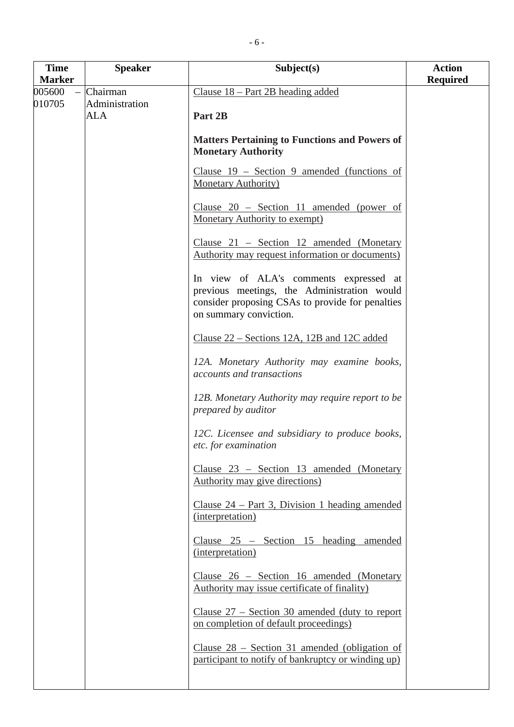| <b>Time</b>      | <b>Speaker</b>                           | Subject(s)                                                                                                                                                          | <b>Action</b>   |
|------------------|------------------------------------------|---------------------------------------------------------------------------------------------------------------------------------------------------------------------|-----------------|
| <b>Marker</b>    |                                          |                                                                                                                                                                     | <b>Required</b> |
| 005600<br>010705 | Chairman<br>Administration<br><b>ALA</b> | Clause $18 - Part 2B$ heading added<br>Part 2B                                                                                                                      |                 |
|                  |                                          | <b>Matters Pertaining to Functions and Powers of</b><br><b>Monetary Authority</b>                                                                                   |                 |
|                  |                                          | Clause $19$ – Section 9 amended (functions of<br><b>Monetary Authority</b> )                                                                                        |                 |
|                  |                                          | Clause $20$ – Section 11 amended (power of<br><b>Monetary Authority to exempt)</b>                                                                                  |                 |
|                  |                                          | Clause $21$ – Section 12 amended (Monetary<br>Authority may request information or documents)                                                                       |                 |
|                  |                                          | In view of ALA's comments expressed at<br>previous meetings, the Administration would<br>consider proposing CSAs to provide for penalties<br>on summary conviction. |                 |
|                  |                                          | Clause 22 – Sections 12A, 12B and 12C added                                                                                                                         |                 |
|                  |                                          | 12A. Monetary Authority may examine books,<br>accounts and transactions                                                                                             |                 |
|                  |                                          | 12B. Monetary Authority may require report to be<br>prepared by auditor                                                                                             |                 |
|                  |                                          | 12C. Licensee and subsidiary to produce books,<br>etc. for examination                                                                                              |                 |
|                  |                                          | Clause 23 - Section 13 amended (Monetary<br>Authority may give directions)                                                                                          |                 |
|                  |                                          | Clause $24$ – Part 3, Division 1 heading amended<br>(interpretation)                                                                                                |                 |
|                  |                                          | Clause $25$ – Section 15 heading amended<br>(interpretation)                                                                                                        |                 |
|                  |                                          | Clause 26 – Section 16 amended (Monetary<br>Authority may issue certificate of finality)                                                                            |                 |
|                  |                                          | Clause $27$ – Section 30 amended (duty to report<br>on completion of default proceedings)                                                                           |                 |
|                  |                                          | Clause $28$ – Section 31 amended (obligation of<br>participant to notify of bankruptcy or winding up)                                                               |                 |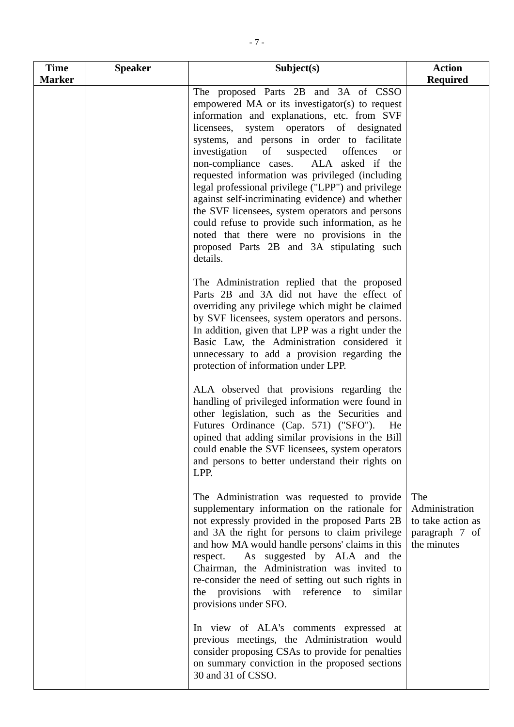| <b>Time</b><br><b>Marker</b> | <b>Speaker</b> | Subject(s)                                                                                                                                                                                                                                                                                                                                                                                                                                                                                                                                                                                                                                                                                                         | <b>Action</b><br><b>Required</b>                                            |
|------------------------------|----------------|--------------------------------------------------------------------------------------------------------------------------------------------------------------------------------------------------------------------------------------------------------------------------------------------------------------------------------------------------------------------------------------------------------------------------------------------------------------------------------------------------------------------------------------------------------------------------------------------------------------------------------------------------------------------------------------------------------------------|-----------------------------------------------------------------------------|
|                              |                | The proposed Parts 2B and 3A of CSSO<br>empowered MA or its investigator(s) to request<br>information and explanations, etc. from SVF<br>licensees, system operators of designated<br>systems, and persons in order to facilitate<br>of<br>suspected offences<br>investigation<br><b>or</b><br>ALA asked if the<br>non-compliance cases.<br>requested information was privileged (including<br>legal professional privilege ("LPP") and privilege<br>against self-incriminating evidence) and whether<br>the SVF licensees, system operators and persons<br>could refuse to provide such information, as he<br>noted that there were no provisions in the<br>proposed Parts 2B and 3A stipulating such<br>details. |                                                                             |
|                              |                | The Administration replied that the proposed<br>Parts 2B and 3A did not have the effect of<br>overriding any privilege which might be claimed<br>by SVF licensees, system operators and persons.<br>In addition, given that LPP was a right under the<br>Basic Law, the Administration considered it<br>unnecessary to add a provision regarding the<br>protection of information under LPP.                                                                                                                                                                                                                                                                                                                       |                                                                             |
|                              |                | ALA observed that provisions regarding the<br>handling of privileged information were found in<br>other legislation, such as the Securities and<br>Futures Ordinance (Cap. 571) ("SFO").<br>He<br>opined that adding similar provisions in the Bill<br>could enable the SVF licensees, system operators<br>and persons to better understand their rights on<br>LPP.                                                                                                                                                                                                                                                                                                                                                |                                                                             |
|                              |                | The Administration was requested to provide<br>supplementary information on the rationale for<br>not expressly provided in the proposed Parts 2B<br>and 3A the right for persons to claim privilege<br>and how MA would handle persons' claims in this<br>As suggested by ALA and the<br>respect.<br>Chairman, the Administration was invited to<br>re-consider the need of setting out such rights in<br>the provisions with reference to<br>similar<br>provisions under SFO.                                                                                                                                                                                                                                     | The<br>Administration<br>to take action as<br>paragraph 7 of<br>the minutes |
|                              |                | In view of ALA's comments expressed at<br>previous meetings, the Administration would<br>consider proposing CSAs to provide for penalties<br>on summary conviction in the proposed sections<br>30 and 31 of CSSO.                                                                                                                                                                                                                                                                                                                                                                                                                                                                                                  |                                                                             |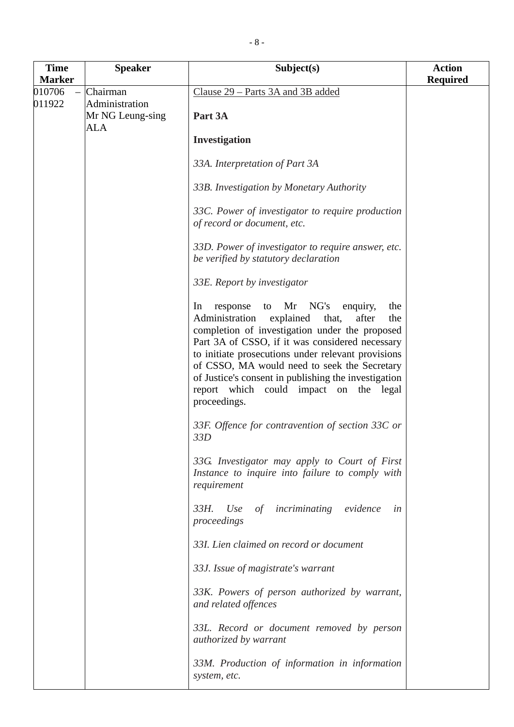| <b>Time</b>      | <b>Speaker</b>                                        | Subject(s)                                                                                                                                                                                                                                                                                                                                                                                                                              | <b>Action</b>   |
|------------------|-------------------------------------------------------|-----------------------------------------------------------------------------------------------------------------------------------------------------------------------------------------------------------------------------------------------------------------------------------------------------------------------------------------------------------------------------------------------------------------------------------------|-----------------|
| <b>Marker</b>    |                                                       |                                                                                                                                                                                                                                                                                                                                                                                                                                         | <b>Required</b> |
| 010706<br>011922 | Chairman<br>Administration<br>Mr NG Leung-sing<br>ALA | Clause 29 – Parts 3A and 3B added<br>Part 3A<br>Investigation                                                                                                                                                                                                                                                                                                                                                                           |                 |
|                  |                                                       | 33A. Interpretation of Part 3A                                                                                                                                                                                                                                                                                                                                                                                                          |                 |
|                  |                                                       | 33B. Investigation by Monetary Authority                                                                                                                                                                                                                                                                                                                                                                                                |                 |
|                  |                                                       | 33C. Power of investigator to require production<br>of record or document, etc.                                                                                                                                                                                                                                                                                                                                                         |                 |
|                  |                                                       | 33D. Power of investigator to require answer, etc.<br>be verified by statutory declaration                                                                                                                                                                                                                                                                                                                                              |                 |
|                  |                                                       | 33E. Report by investigator                                                                                                                                                                                                                                                                                                                                                                                                             |                 |
|                  |                                                       | Mr NG's<br>response<br>enquiry,<br>In<br>to<br>the<br>explained<br>Administration<br>that,<br>after<br>the<br>completion of investigation under the proposed<br>Part 3A of CSSO, if it was considered necessary<br>to initiate prosecutions under relevant provisions<br>of CSSO, MA would need to seek the Secretary<br>of Justice's consent in publishing the investigation<br>report which could impact on the legal<br>proceedings. |                 |
|                  |                                                       | 33F. Offence for contravention of section 33C or<br>33D                                                                                                                                                                                                                                                                                                                                                                                 |                 |
|                  |                                                       | 33G. Investigator may apply to Court of First<br>Instance to inquire into failure to comply with<br>requirement                                                                                                                                                                                                                                                                                                                         |                 |
|                  |                                                       | $33H$ .<br>of incriminating evidence<br>Use<br>in<br>proceedings                                                                                                                                                                                                                                                                                                                                                                        |                 |
|                  |                                                       | 33I. Lien claimed on record or document                                                                                                                                                                                                                                                                                                                                                                                                 |                 |
|                  |                                                       | 33J. Issue of magistrate's warrant                                                                                                                                                                                                                                                                                                                                                                                                      |                 |
|                  |                                                       | 33K. Powers of person authorized by warrant,<br>and related offences                                                                                                                                                                                                                                                                                                                                                                    |                 |
|                  |                                                       | 33L. Record or document removed by person<br><i>authorized by warrant</i>                                                                                                                                                                                                                                                                                                                                                               |                 |
|                  |                                                       | 33M. Production of information in information<br>system, etc.                                                                                                                                                                                                                                                                                                                                                                           |                 |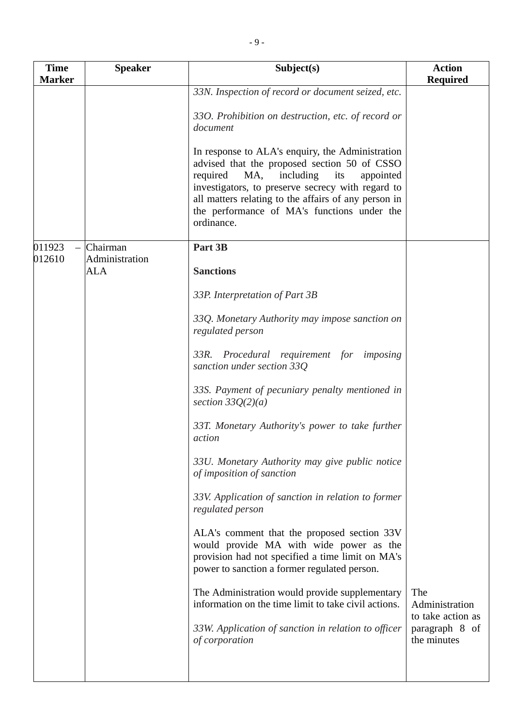| <b>Time</b>   | <b>Speaker</b>               | Subject(s)                                                                                                                                                                                                                                                                                                                     | <b>Action</b>                              |
|---------------|------------------------------|--------------------------------------------------------------------------------------------------------------------------------------------------------------------------------------------------------------------------------------------------------------------------------------------------------------------------------|--------------------------------------------|
| <b>Marker</b> |                              |                                                                                                                                                                                                                                                                                                                                | <b>Required</b>                            |
|               |                              | 33N. Inspection of record or document seized, etc.<br>330. Prohibition on destruction, etc. of record or<br>document                                                                                                                                                                                                           |                                            |
|               |                              | In response to ALA's enquiry, the Administration<br>advised that the proposed section 50 of CSSO<br>including<br>required<br>MA,<br>its<br>appointed<br>investigators, to preserve secrecy with regard to<br>all matters relating to the affairs of any person in<br>the performance of MA's functions under the<br>ordinance. |                                            |
| 011923        | Chairman                     | Part 3B                                                                                                                                                                                                                                                                                                                        |                                            |
| 012610        | Administration<br><b>ALA</b> | <b>Sanctions</b>                                                                                                                                                                                                                                                                                                               |                                            |
|               |                              | 33P. Interpretation of Part 3B                                                                                                                                                                                                                                                                                                 |                                            |
|               |                              | 33Q. Monetary Authority may impose sanction on<br>regulated person                                                                                                                                                                                                                                                             |                                            |
|               |                              | $33R$ .<br>Procedural requirement for imposing<br>sanction under section 33Q                                                                                                                                                                                                                                                   |                                            |
|               |                              | 33S. Payment of pecuniary penalty mentioned in<br>section $33Q(2)(a)$                                                                                                                                                                                                                                                          |                                            |
|               |                              | 33T. Monetary Authority's power to take further<br>action                                                                                                                                                                                                                                                                      |                                            |
|               |                              | 33U. Monetary Authority may give public notice<br>of imposition of sanction                                                                                                                                                                                                                                                    |                                            |
|               |                              | 33V. Application of sanction in relation to former<br>regulated person                                                                                                                                                                                                                                                         |                                            |
|               |                              | ALA's comment that the proposed section 33V<br>would provide MA with wide power as the<br>provision had not specified a time limit on MA's<br>power to sanction a former regulated person.                                                                                                                                     |                                            |
|               |                              | The Administration would provide supplementary<br>information on the time limit to take civil actions.                                                                                                                                                                                                                         | The<br>Administration<br>to take action as |
|               |                              | 33W. Application of sanction in relation to officer<br>of corporation                                                                                                                                                                                                                                                          | paragraph 8 of<br>the minutes              |
|               |                              |                                                                                                                                                                                                                                                                                                                                |                                            |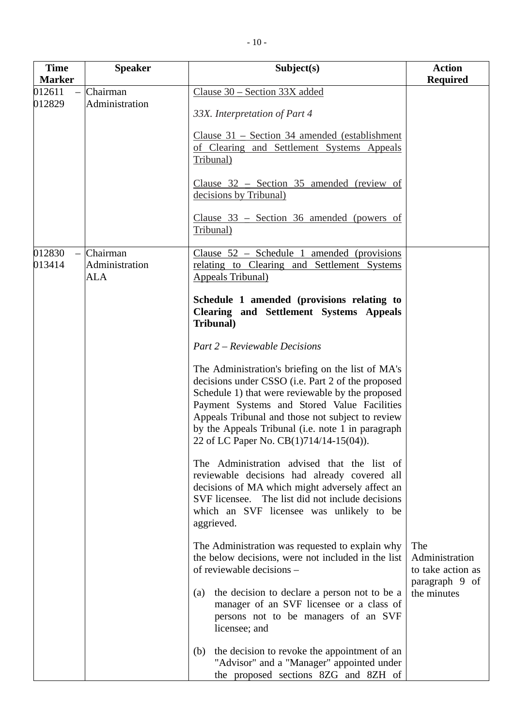| <b>Time</b>      | <b>Speaker</b>                    | Subject(s)                                                                                                                                                                                                                                                                                                                                                    | <b>Action</b>                              |
|------------------|-----------------------------------|---------------------------------------------------------------------------------------------------------------------------------------------------------------------------------------------------------------------------------------------------------------------------------------------------------------------------------------------------------------|--------------------------------------------|
| <b>Marker</b>    |                                   |                                                                                                                                                                                                                                                                                                                                                               | <b>Required</b>                            |
| 012611<br>012829 | Chairman<br>Administration        | Clause 30 - Section 33X added<br>33X. Interpretation of Part 4<br>Clause $31$ – Section 34 amended (establishment<br>of Clearing and Settlement Systems Appeals<br>Tribunal)<br>Clause $32$ – Section 35 amended (review of<br>decisions by Tribunal)<br>Clause $33$ – Section 36 amended (powers of<br>Tribunal)                                             |                                            |
| 012830<br>013414 | Chairman<br>Administration<br>ALA | Clause $52$ – Schedule 1<br>amended (provisions)<br>relating to Clearing and Settlement Systems<br><b>Appeals Tribunal</b> )                                                                                                                                                                                                                                  |                                            |
|                  |                                   | Schedule 1 amended (provisions relating to<br><b>Clearing and Settlement Systems Appeals</b><br>Tribunal)                                                                                                                                                                                                                                                     |                                            |
|                  |                                   | <b>Part 2 – Reviewable Decisions</b>                                                                                                                                                                                                                                                                                                                          |                                            |
|                  |                                   | The Administration's briefing on the list of MA's<br>decisions under CSSO (i.e. Part 2 of the proposed<br>Schedule 1) that were reviewable by the proposed<br>Payment Systems and Stored Value Facilities<br>Appeals Tribunal and those not subject to review<br>by the Appeals Tribunal (i.e. note 1 in paragraph<br>22 of LC Paper No. CB(1)714/14-15(04)). |                                            |
|                  |                                   | The Administration advised that the list of<br>reviewable decisions had already covered all<br>decisions of MA which might adversely affect an<br>SVF licensee. The list did not include decisions<br>which an SVF licensee was unlikely to be<br>aggrieved.                                                                                                  |                                            |
|                  |                                   | The Administration was requested to explain why<br>the below decisions, were not included in the list<br>of reviewable decisions –                                                                                                                                                                                                                            | The<br>Administration<br>to take action as |
|                  |                                   | the decision to declare a person not to be a<br>(a)<br>manager of an SVF licensee or a class of<br>persons not to be managers of an SVF<br>licensee; and                                                                                                                                                                                                      | paragraph 9 of<br>the minutes              |
|                  |                                   | the decision to revoke the appointment of an<br>(b)<br>"Advisor" and a "Manager" appointed under<br>the proposed sections 8ZG and 8ZH of                                                                                                                                                                                                                      |                                            |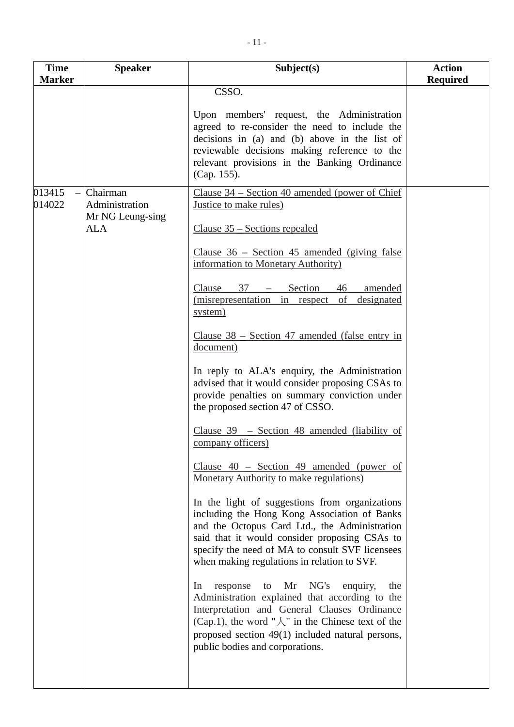| <b>Time</b>      | <b>Speaker</b>                                               | Subject(s)                                                                                                                                                                                                                                                                                                                                                                                                                                                                                                                                                                                                                                                                                                                                                                                                                                                                                                                                                                                                                                                                                                                                                                                                                                                                                                                                                        | <b>Action</b>   |
|------------------|--------------------------------------------------------------|-------------------------------------------------------------------------------------------------------------------------------------------------------------------------------------------------------------------------------------------------------------------------------------------------------------------------------------------------------------------------------------------------------------------------------------------------------------------------------------------------------------------------------------------------------------------------------------------------------------------------------------------------------------------------------------------------------------------------------------------------------------------------------------------------------------------------------------------------------------------------------------------------------------------------------------------------------------------------------------------------------------------------------------------------------------------------------------------------------------------------------------------------------------------------------------------------------------------------------------------------------------------------------------------------------------------------------------------------------------------|-----------------|
| <b>Marker</b>    |                                                              |                                                                                                                                                                                                                                                                                                                                                                                                                                                                                                                                                                                                                                                                                                                                                                                                                                                                                                                                                                                                                                                                                                                                                                                                                                                                                                                                                                   | <b>Required</b> |
|                  |                                                              | CSSO.<br>Upon members' request, the Administration<br>agreed to re-consider the need to include the<br>decisions in (a) and (b) above in the list of<br>reviewable decisions making reference to the<br>relevant provisions in the Banking Ordinance<br>(Cap. 155).                                                                                                                                                                                                                                                                                                                                                                                                                                                                                                                                                                                                                                                                                                                                                                                                                                                                                                                                                                                                                                                                                               |                 |
| 013415<br>014022 | Chairman<br>Administration<br>Mr NG Leung-sing<br><b>ALA</b> | Clause $34$ – Section 40 amended (power of Chief<br>Justice to make rules)<br>$Clause 35 – Sections repealed$<br>Clause $36$ – Section 45 amended (giving false<br>information to Monetary Authority)<br>Section<br>$37 -$<br>Clause<br>46<br>amended<br>(misrepresentation in respect<br>of<br>designated<br>system)<br>Clause $38$ – Section 47 amended (false entry in<br>document)<br>In reply to ALA's enquiry, the Administration<br>advised that it would consider proposing CSAs to<br>provide penalties on summary conviction under<br>the proposed section 47 of CSSO.<br>Clause $39$ – Section 48 amended (liability of<br>company officers)<br>Clause $40$ – Section 49 amended (power of<br>Monetary Authority to make regulations)<br>In the light of suggestions from organizations<br>including the Hong Kong Association of Banks<br>and the Octopus Card Ltd., the Administration<br>said that it would consider proposing CSAs to<br>specify the need of MA to consult SVF licensees<br>when making regulations in relation to SVF.<br>response to Mr NG's<br>enquiry,<br>In<br>the<br>Administration explained that according to the<br>Interpretation and General Clauses Ordinance<br>(Cap.1), the word " $\mathcal{L}$ " in the Chinese text of the<br>proposed section 49(1) included natural persons,<br>public bodies and corporations. |                 |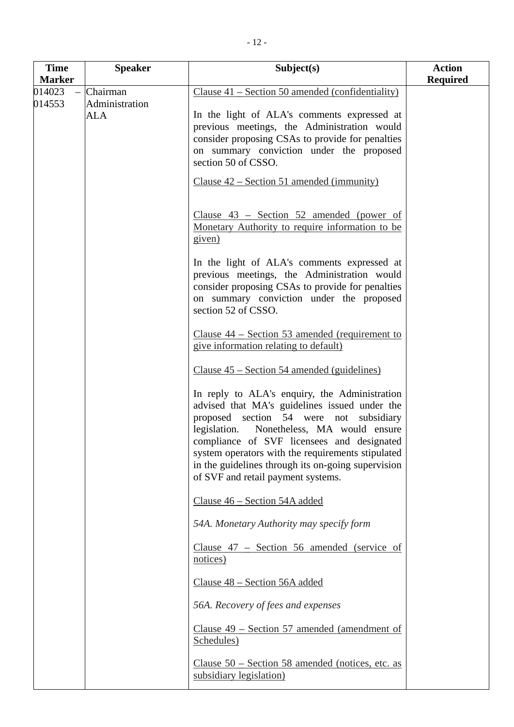| <b>Time</b>      | <b>Speaker</b>                           | Subject(s)                                                                                                                                                                                                                                                                                                                                                                            | <b>Action</b>   |
|------------------|------------------------------------------|---------------------------------------------------------------------------------------------------------------------------------------------------------------------------------------------------------------------------------------------------------------------------------------------------------------------------------------------------------------------------------------|-----------------|
| <b>Marker</b>    |                                          |                                                                                                                                                                                                                                                                                                                                                                                       | <b>Required</b> |
| 014023<br>014553 | Chairman<br>Administration<br><b>ALA</b> | Clause 41 – Section 50 amended (confidentiality)<br>In the light of ALA's comments expressed at<br>previous meetings, the Administration would<br>consider proposing CSAs to provide for penalties<br>on summary conviction under the proposed<br>section 50 of CSSO.<br>Clause $42$ – Section 51 amended (immunity)                                                                  |                 |
|                  |                                          | Clause $43$ – Section 52 amended (power of<br>Monetary Authority to require information to be<br>given)<br>In the light of ALA's comments expressed at                                                                                                                                                                                                                                |                 |
|                  |                                          | previous meetings, the Administration would<br>consider proposing CSAs to provide for penalties<br>on summary conviction under the proposed<br>section 52 of CSSO.<br>Clause $44$ – Section 53 amended (requirement to                                                                                                                                                                |                 |
|                  |                                          | give information relating to default)<br>Clause $45$ – Section 54 amended (guidelines)                                                                                                                                                                                                                                                                                                |                 |
|                  |                                          | In reply to ALA's enquiry, the Administration<br>advised that MA's guidelines issued under the<br>proposed section 54 were not subsidiary<br>legislation. Nonetheless, MA would ensure<br>compliance of SVF licensees and designated<br>system operators with the requirements stipulated<br>in the guidelines through its on-going supervision<br>of SVF and retail payment systems. |                 |
|                  |                                          | Clause 46 – Section 54A added                                                                                                                                                                                                                                                                                                                                                         |                 |
|                  |                                          | 54A. Monetary Authority may specify form                                                                                                                                                                                                                                                                                                                                              |                 |
|                  |                                          | Clause 47 – Section 56 amended (service of<br>notices)                                                                                                                                                                                                                                                                                                                                |                 |
|                  |                                          | Clause 48 – Section 56A added                                                                                                                                                                                                                                                                                                                                                         |                 |
|                  |                                          | 56A. Recovery of fees and expenses                                                                                                                                                                                                                                                                                                                                                    |                 |
|                  |                                          | Clause $49$ – Section 57 amended (amendment of<br>Schedules)                                                                                                                                                                                                                                                                                                                          |                 |
|                  |                                          | Clause $50$ – Section 58 amended (notices, etc. as<br>subsidiary legislation)                                                                                                                                                                                                                                                                                                         |                 |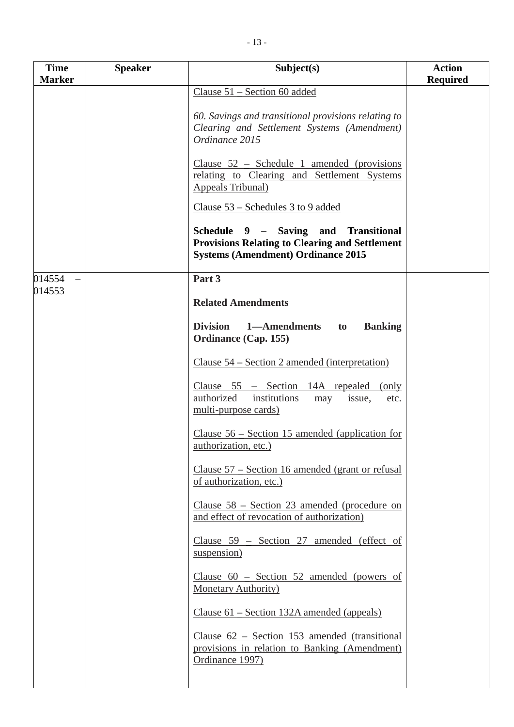| <b>Time</b><br><b>Marker</b> | <b>Speaker</b> | Subject(s)                                                                                                                                 | <b>Action</b><br><b>Required</b> |
|------------------------------|----------------|--------------------------------------------------------------------------------------------------------------------------------------------|----------------------------------|
|                              |                | Clause $51$ – Section 60 added                                                                                                             |                                  |
|                              |                | 60. Savings and transitional provisions relating to<br>Clearing and Settlement Systems (Amendment)<br>Ordinance 2015                       |                                  |
|                              |                | Clause $52$ – Schedule 1 amended (provisions<br>relating to Clearing and Settlement Systems<br><b>Appeals Tribunal</b> )                   |                                  |
|                              |                | Clause 53 – Schedules 3 to 9 added                                                                                                         |                                  |
|                              |                | Schedule 9 - Saving and Transitional<br><b>Provisions Relating to Clearing and Settlement</b><br><b>Systems (Amendment) Ordinance 2015</b> |                                  |
| 014554                       |                | Part 3                                                                                                                                     |                                  |
| 014553                       |                | <b>Related Amendments</b>                                                                                                                  |                                  |
|                              |                | <b>Division</b><br>1—Amendments<br><b>Banking</b><br>to<br><b>Ordinance (Cap. 155)</b>                                                     |                                  |
|                              |                | Clause 54 – Section 2 amended (interpretation)                                                                                             |                                  |
|                              |                | Clause $55$ – Section 14A repealed (only<br>authorized institutions<br>issue,<br>etc.<br>may<br>multi-purpose cards)                       |                                  |
|                              |                | Clause $56$ – Section 15 amended (application for<br>authorization, etc.)                                                                  |                                  |
|                              |                | Clause 57 – Section 16 amended (grant or refusal<br>of authorization, etc.)                                                                |                                  |
|                              |                | <u>Clause <math>58</math> – Section 23 amended (procedure on</u><br>and effect of revocation of authorization)                             |                                  |
|                              |                | Clause 59 - Section 27 amended (effect of<br>suspension)                                                                                   |                                  |
|                              |                | Clause $60$ – Section 52 amended (powers of<br>Monetary Authority)                                                                         |                                  |
|                              |                | Clause 61 – Section 132A amended (appeals)                                                                                                 |                                  |
|                              |                | Clause $62$ – Section 153 amended (transitional<br>provisions in relation to Banking (Amendment)<br>Ordinance 1997)                        |                                  |
|                              |                |                                                                                                                                            |                                  |